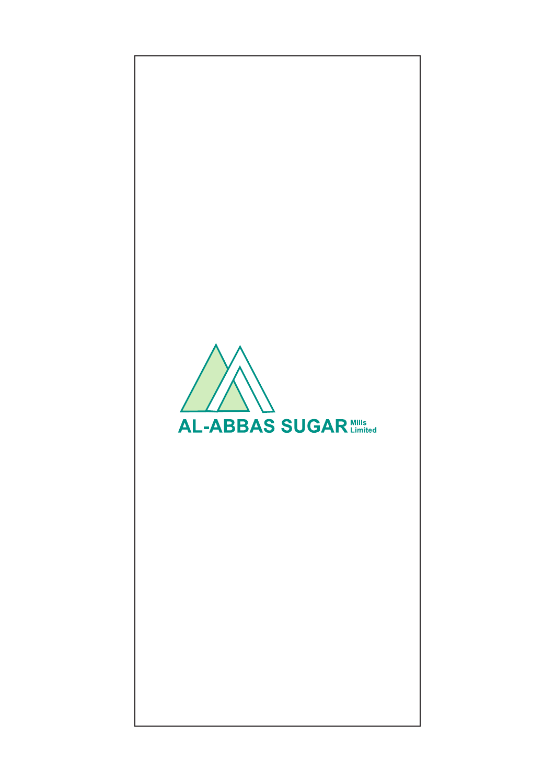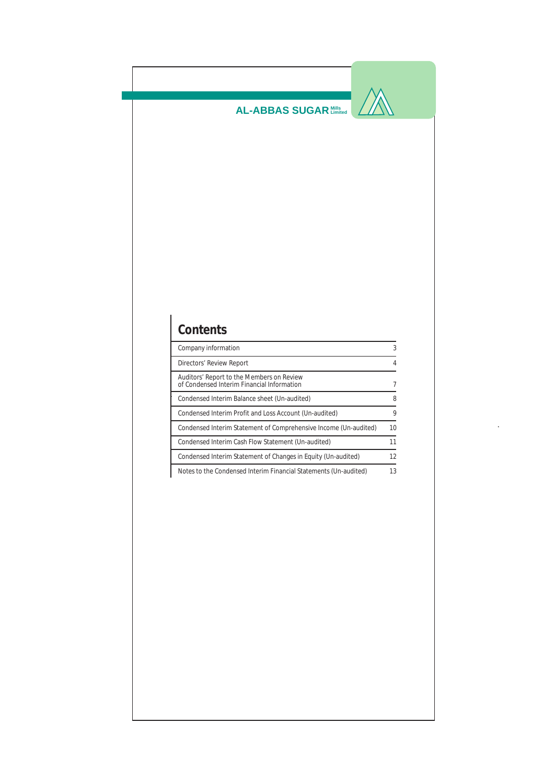$\sqrt{\mathbb{A}}$ 

# **Contents**

| Company information                                                                     | 3  |
|-----------------------------------------------------------------------------------------|----|
| Directors' Review Report                                                                | 4  |
| Auditors' Report to the Members on Review<br>of Condensed Interim Financial Information | 7  |
| Condensed Interim Balance sheet (Un-audited)                                            | 8  |
| Condensed Interim Profit and Loss Account (Un-audited)                                  | 9  |
| Condensed Interim Statement of Comprehensive Income (Un-audited)                        | 10 |
| Condensed Interim Cash Flow Statement (Un-audited)                                      | 11 |
| Condensed Interim Statement of Changes in Equity (Un-audited)                           | 12 |
| Notes to the Condensed Interim Financial Statements (Un-audited)                        | 13 |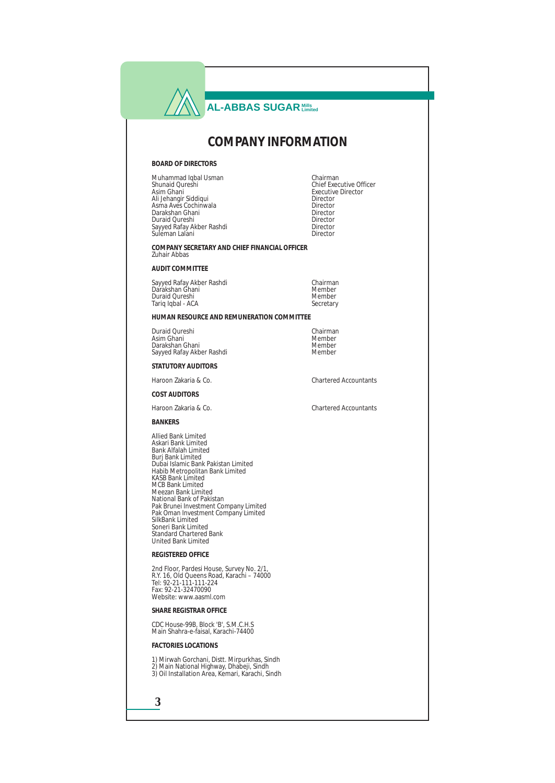### **COMPANY INFORMATION**

#### **BOARD OF DIRECTORS**

Muhammad Iqbal Usman Chairman Asim Ghani Executive Director Ali Jehangir Siddiqui Director Asma Aves Cochinwala Director Darakshan Ghani Director Duraid Qureshi Director Sayyed Rafay Akber Rashdi Director Suleman Lalani Director

Chief Executive Officer<br>Executive Director

**COMPANY SECRETARY AND CHIEF FINANCIAL OFFICER** Zuhair Abbas

**AUDIT COMMITTEE**

Sayyed Rafay Akber Rashdi Chairman Darakshan Ghani Member Duraid Qureshi<br>Tariq Iqhal - ACA<br>Secretary Tariq Iqbal - ACA

**HUMAN RESOURCE AND REMUNERATION COMMITTEE**

Duraid Qureshi Chairman Asim Ghani Member Darakshan Ghani Member Sayyed Rafay Akber Rashdi Member

**STATUTORY AUDITORS**

Haroon Zakaria & Co. Chartered Accountants

**COST AUDITORS**

Haroon Zakaria & Co. Chartered Accountants

**BANKERS**

Allied Bank Limited Askari Bank Limited Bank Alfalah Limited Burj Bank Limited Dubai Islamic Bank Pakistan Limited Habib Metropolitan Bank Limited KASB Bank Limited MCB Bank Limited Meezan Bank Limited National Bank of Pakistan Pak Brunei Investment Company Limited Pak Oman Investment Company Limited SilkBank Limited Soneri Bank Limited Standard Chartered Bank United Bank Limited

**REGISTERED OFFICE**

2nd Floor, Pardesi House, Survey No. 2/1, R.Y. 16, Old Queens Road, Karachi – 74000 Tel: 92-21-111-111-224 Fax: 92-21-32470090 Website: www.aasml.com

**SHARE REGISTRAR OFFICE**

CDC House-99B, Block 'B', S.M.C.H.S Main Shahra-e-faisal, Karachi-74400

**FACTORIES LOCATIONS**

1) Mirwah Gorchani, Distt. Mirpurkhas, Sindh 2) Main National Highway, Dhabeji, Sindh 3) Oil Installation Area, Kemari, Karachi, Sindh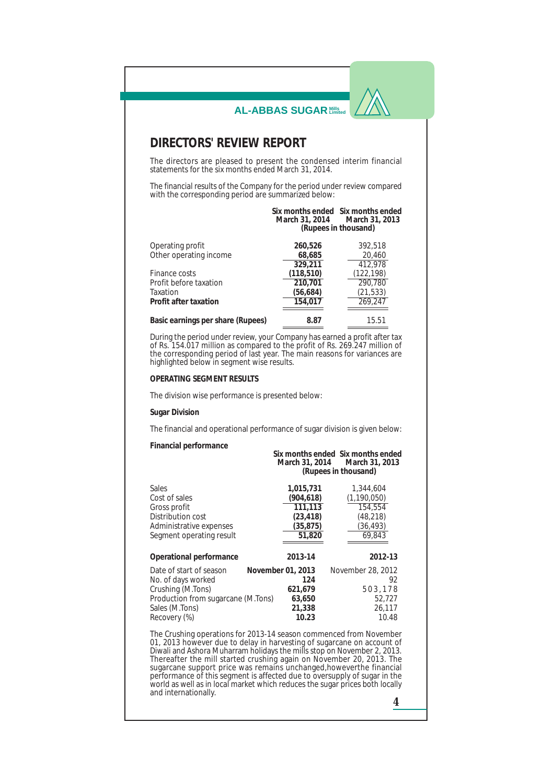|                                                                                                                                                                                                                                                                                     | <b>AL-ABBAS SUGAR Mills</b> |                                                                                            |
|-------------------------------------------------------------------------------------------------------------------------------------------------------------------------------------------------------------------------------------------------------------------------------------|-----------------------------|--------------------------------------------------------------------------------------------|
| <b>DIRECTORS' REVIEW REPORT</b>                                                                                                                                                                                                                                                     |                             |                                                                                            |
| The directors are pleased to present the condensed interim financial                                                                                                                                                                                                                |                             |                                                                                            |
| statements for the six months ended March 31, 2014.                                                                                                                                                                                                                                 |                             |                                                                                            |
| The financial results of the Company for the period under review compared<br>with the corresponding period are summarized below:                                                                                                                                                    |                             |                                                                                            |
|                                                                                                                                                                                                                                                                                     |                             | Six months ended Six months ended<br>March 31, 2014 March 31, 2013<br>(Rupees in thousand) |
| Operating profit<br>Other operating income                                                                                                                                                                                                                                          | 260,526<br>68,685           | 392,518<br>20,460                                                                          |
| Finance costs                                                                                                                                                                                                                                                                       | 329,211<br>(118, 510)       | 412,978<br>(122, 198)                                                                      |
| Profit before taxation                                                                                                                                                                                                                                                              | 210,701                     | 290,780                                                                                    |
| Taxation<br>Profit after taxation                                                                                                                                                                                                                                                   | (56, 684)<br>154,017        | (21, 533)<br>269,247                                                                       |
| Basic earnings per share (Rupees)                                                                                                                                                                                                                                                   | 8.87                        | 15.51                                                                                      |
| During the period under review, your Company has earned a profit after tax<br>of Rs. 154.017 million as compared to the profit of Rs. 269.247 million of<br>the corresponding period of last year. The main reasons for variances are<br>highlighted below in segment wise results. |                             |                                                                                            |
|                                                                                                                                                                                                                                                                                     |                             |                                                                                            |
|                                                                                                                                                                                                                                                                                     |                             |                                                                                            |
|                                                                                                                                                                                                                                                                                     |                             |                                                                                            |
|                                                                                                                                                                                                                                                                                     |                             |                                                                                            |
|                                                                                                                                                                                                                                                                                     |                             |                                                                                            |
| <b>OPERATING SEGMENT RESULTS</b><br>The division wise performance is presented below:<br><b>Sugar Division</b><br>The financial and operational performance of sugar division is given below:<br>Financial performance                                                              |                             | Six months ended Six months ended<br>March 31, 2014 March 31, 2013<br>(Rupees in thousand) |
|                                                                                                                                                                                                                                                                                     | 1,015,731                   | 1,344,604                                                                                  |
|                                                                                                                                                                                                                                                                                     | (904, 618)                  | (1,190,050)                                                                                |
|                                                                                                                                                                                                                                                                                     | 111,113                     | 154,554                                                                                    |
|                                                                                                                                                                                                                                                                                     | (23, 418)<br>(35, 875)      | (48, 218)<br>(36, 493)                                                                     |
|                                                                                                                                                                                                                                                                                     | 51,820                      | 69,843                                                                                     |
|                                                                                                                                                                                                                                                                                     | 2013-14                     | 2012-13                                                                                    |
|                                                                                                                                                                                                                                                                                     | November 01, 2013           | November 28, 2012                                                                          |
|                                                                                                                                                                                                                                                                                     | 124                         | 92                                                                                         |
|                                                                                                                                                                                                                                                                                     | 621,679                     | 503,178                                                                                    |
| Sales<br>Cost of sales<br>Gross profit<br>Distribution cost<br>Administrative expenses<br>Segment operating result<br>Operational performance<br>Date of start of season<br>No. of days worked<br>Crushing (M.Tons)<br>Production from sugarcane (M.Tons)<br>Sales (M.Tons)         | 63,650<br>21,338            | 52,727<br>26,117                                                                           |

Diwali and Ashora Muharram holidays the mills stop on November 2, 2013. Thereafter the mill started crushing again on November 20, 2013. The sugarcane support price was remains unchanged,howeverthe financial performance of this segment is affected due to oversupply of sugar in the world as well as in local market which reduces the sugar prices both locally and internationally.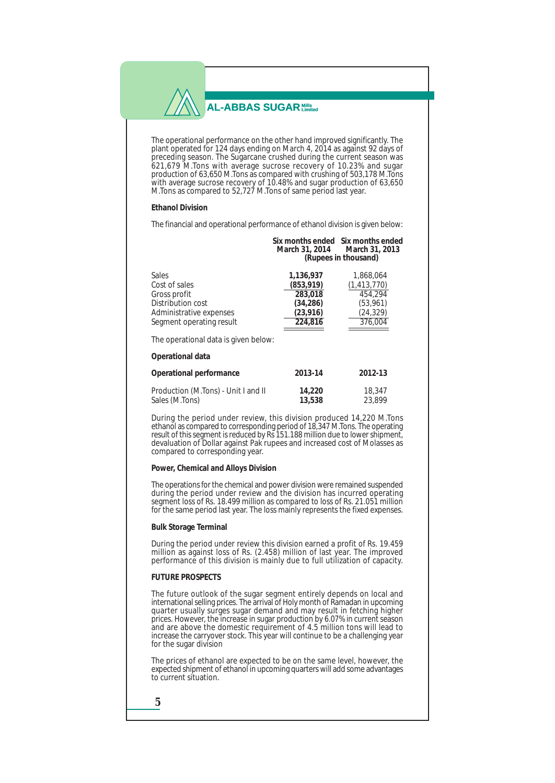The operational performance on the other hand improved significantly. The plant operated for 124 days ending on March 4, 2014 as against 92 days of preceding season. The Sugarcane crushed during the current season was 621,679 M.Tons with average sucrose recovery of 10.23% and sugar production of 63,650 M.Tons as compared with crushing of 503,178 M.Tons with average sucrose recovery of 10.48% and sugar production of 63,650 M.Tons as compared to 52,727 M.Tons of same period last year.

#### **Ethanol Division**

The financial and operational performance of ethanol division is given below:

| Six months ended Six months ended |                      |
|-----------------------------------|----------------------|
| March 31, 2014                    | March 31. 2013       |
|                                   | (Rupees in thousand) |

| <b>Sales</b><br>Cost of sales<br>Gross profit<br>Distribution cost<br>Administrative expenses<br>Segment operating result | 1,136,937<br>(853, 919)<br>283.018<br>(34.286)<br>(23, 916)<br>224.816 | 1.868.064<br>(1, 413, 770)<br>454.294<br>(53, 961)<br>(24, 329)<br>376,004 |
|---------------------------------------------------------------------------------------------------------------------------|------------------------------------------------------------------------|----------------------------------------------------------------------------|
| The operational data is given below:                                                                                      |                                                                        |                                                                            |
| Operational data                                                                                                          |                                                                        |                                                                            |
| Operational performance                                                                                                   | 2013-14                                                                | 2012-13                                                                    |
| Production (M.Tons) - Unit I and II<br>Sales (M.Tons)                                                                     | 14.220<br>13.538                                                       | 18.347<br>23.899                                                           |

During the period under review, this division produced 14,220 M.Tons ethanol as compared to corresponding period of 18,347 M.Tons. The operating result of this segment is reduced by Rs 151.188 million due to lower shipment, devaluation of Dollar against Pak rupees and increased cost of Molasses as

#### **Power, Chemical and Alloys Division**

compared to corresponding year.

The operations for the chemical and power division were remained suspended during the period under review and the division has incurred operating segment loss of Rs. 18.499 million as compared to loss of Rs. 21.051 million for the same period last year. The loss mainly represents the fixed expenses.

### **Bulk Storage Terminal**

During the period under review this division earned a profit of Rs. 19.459 million as against loss of Rs. (2.458) million of last year. The improved performance of this division is mainly due to full utilization of capacity.

### **FUTURE PROSPECTS**

The future outlook of the sugar segment entirely depends on local and international selling prices. The arrival of Holy month of Ramadan in upcoming quarter usually surges sugar demand and may result in fetching higher prices. However, the increase in sugar production by 6.07% in current season and are above the domestic requirement of 4.5 million tons will lead to increase the carryover stock. This year will continue to be a challenging year for the sugar division

The prices of ethanol are expected to be on the same level, however, the expected shipment of ethanol in upcoming quarters will add some advantages to current situation.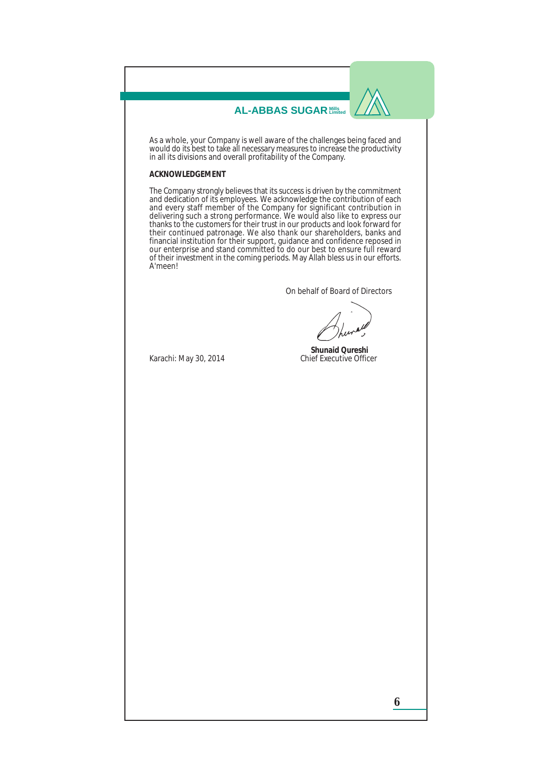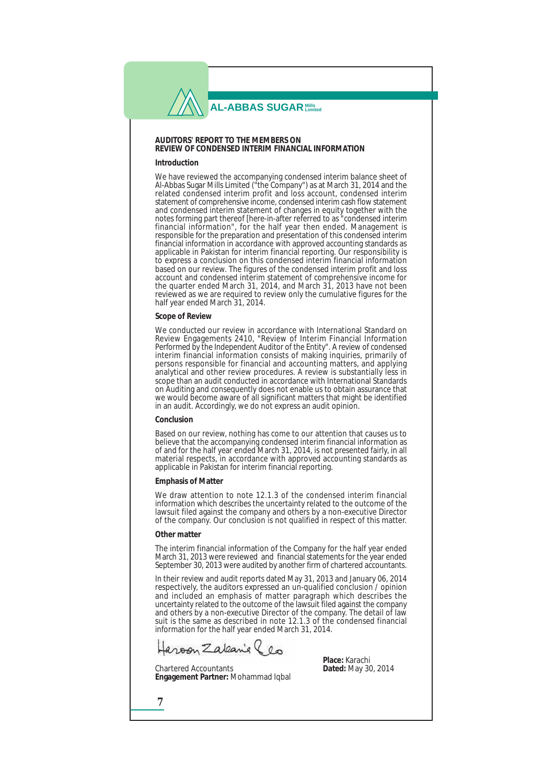### **AUDITORS' REPORT TO THE MEMBERS ON REVIEW OF CONDENSED INTERIM FINANCIAL INFORMATION**

#### **Introduction**

We have reviewed the accompanying condensed interim balance sheet of Al-Abbas Sugar Mills Limited ("the Company") as at March 31, 2014 and the related condensed interim profit and loss account, condensed interim statement of comprehensive income, condensed interim cash flow statement and condensed interim statement of changes in equity together with the notes forming part thereof [here-in-after referred to as "condensed interim financial information", for the half year then ended. Management is responsible for the preparation and presentation of this condensed interim financial information in accordance with approved accounting standards as applicable in Pakistan for interim financial reporting. Our responsibility is to express a conclusion on this condensed interim financial information based on our review. The figures of the condensed interim profit and loss account and condensed interim statement of comprehensive income for the quarter ended March 31, 2014, and March 31, 2013 have not been reviewed as we are required to review only the cumulative figures for the half year ended March 31, 2014.

### **Scope of Review**

We conducted our review in accordance with International Standard on Review Engagements 2410, "Review of Interim Financial Information Performed by the Independent Auditor of the Entity". A review of condensed interim financial information consists of making inquiries, primarily of persons responsible for financial and accounting matters, and applying analytical and other review procedures. A review is substantially less in scope than an audit conducted in accordance with International Standards on Auditing and consequently does not enable us to obtain assurance that we would become aware of all significant matters that might be identified in an audit. Accordingly, we do not express an audit opinion.

#### **Conclusion**

Based on our review, nothing has come to our attention that causes us to believe that the accompanying condensed interim financial information as of and for the half year ended March 31, 2014, is not presented fairly, in all material respects, in accordance with approved accounting standards as applicable in Pakistan for interim financial reporting.

#### **Emphasis of Matter**

We draw attention to note 12.1.3 of the condensed interim financial information which describes the uncertainty related to the outcome of the lawsuit filed against the company and others by a non-executive Director of the company. Our conclusion is not qualified in respect of this matter.

#### **Other matter**

**7**

The interim financial information of the Company for the half year ended March 31, 2013 were reviewed and financial statements for the year ended September 30, 2013 were audited by another firm of chartered accountants.

In their review and audit reports dated May 31, 2013 and January 06, 2014 respectively, the auditors expressed an un-qualified conclusion / opinion and included an emphasis of matter paragraph which describes the uncertainty related to the outcome of the lawsuit filed against the company and others by a non-executive Director of the company. The detail of law suit is the same as described in note 12.1.3 of the condensed financial information for the half year ended March 31, 2014.

aroon Zaleanie (en

Chartered Accountants **Dated:** May 30, 2014 **Engagement Partner:** Mohammad Iqbal

**Place:** Karachi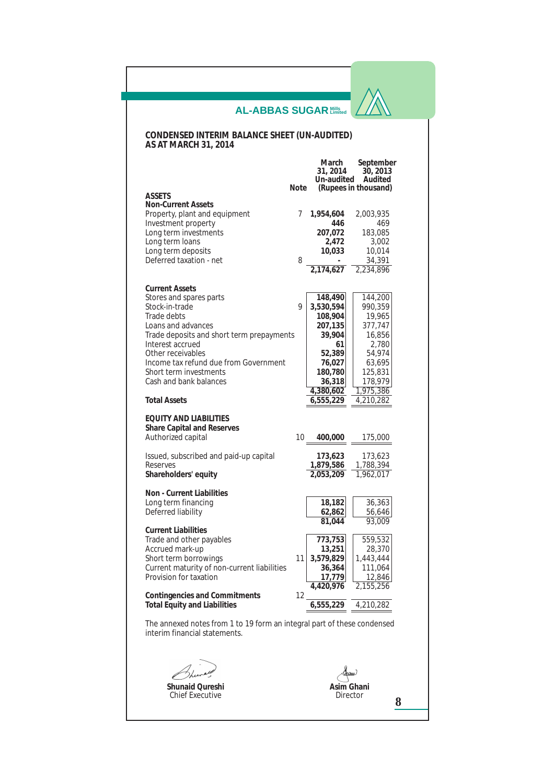### **CONDENSED INTERIM BALANCE SHEET (UN-AUDITED) AS AT MARCH 31, 2014**

|                                                                         |             | March      | September            |
|-------------------------------------------------------------------------|-------------|------------|----------------------|
|                                                                         |             | 31, 2014   | 30, 2013             |
|                                                                         |             | Un-audited | Audited              |
| <b>ASSETS</b>                                                           | <b>Note</b> |            | (Rupees in thousand) |
| <b>Non-Current Assets</b>                                               |             |            |                      |
| Property, plant and equipment                                           | 7           | 1,954,604  | 2,003,935            |
| <b>Investment</b> property                                              |             | 446        | 469                  |
|                                                                         |             |            |                      |
| Long term investments                                                   |             | 207,072    | 183,085              |
| Long term loans                                                         |             | 2,472      | 3,002                |
| Long term deposits                                                      |             | 10,033     | 10,014               |
| Deferred taxation - net                                                 | 8           |            | 34,391               |
|                                                                         |             | 2.174.627  | 2,234,896            |
|                                                                         |             |            |                      |
| <b>Current Assets</b>                                                   |             |            |                      |
| Stores and spares parts                                                 |             | 148,490    | 144,200              |
| Stock-in-trade                                                          | 9           | 3,530,594  | 990,359              |
| <b>Trade debts</b>                                                      |             | 108,904    | 19,965               |
| Loans and advances                                                      |             | 207,135    | 377,747              |
| Trade deposits and short term prepayments                               |             | 39,904     | 16,856               |
| Interest accrued                                                        |             | 61         | 2,780                |
| Other receivables                                                       |             | 52,389     | 54,974               |
| Income tax refund due from Government                                   |             | 76,027     | 63,695               |
| Short term investments                                                  |             | 180,780    | 125,831              |
| Cash and bank balances                                                  |             | 36,318     | 178,979              |
|                                                                         |             | 4,380,602  | 1,975,386            |
| <b>Total Assets</b>                                                     |             | 6,555,229  | 4,210,282            |
|                                                                         |             |            |                      |
| <b>EQUITY AND LIABILITIES</b>                                           |             |            |                      |
| <b>Share Capital and Reserves</b>                                       |             |            |                      |
| Authorized capital                                                      | 10          | 400,000    | 175,000              |
|                                                                         |             |            |                      |
| Issued, subscribed and paid-up capital                                  |             | 173,623    | 173,623              |
| <b>Reserves</b>                                                         |             | 1,879,586  | 1,788,394            |
| Shareholders' equity                                                    |             | 2,053,209  | 1,962,017            |
|                                                                         |             |            |                      |
| Non - Current Liabilities                                               |             |            |                      |
| Long term financing                                                     |             | 18,182     | 36,363               |
| Deferred liability                                                      |             | 62,862     | 56,646               |
|                                                                         |             | 81,044     | 93,009               |
| <b>Current Liabilities</b>                                              |             |            |                      |
| Trade and other payables                                                |             | 773,753    | 559,532              |
| Accrued mark-up                                                         |             | 13,251     | 28,370               |
| Short term borrowings                                                   | 11          | 3,579,829  | 1,443,444            |
| Current maturity of non-current liabilities                             |             | 36,364     | 111,064              |
| Provision for taxation                                                  |             | 17,779     | 12,846               |
|                                                                         |             | 4,420,976  | 2,155,256            |
| <b>Contingencies and Commitments</b>                                    | 12          |            |                      |
| <b>Total Equity and Liabilities</b>                                     |             | 6,555,229  | 4,210,282            |
|                                                                         |             |            |                      |
| The annexed notes from 1 to 19 form an integral part of these condensed |             |            |                      |
| interim financial statements.                                           |             |            |                      |
|                                                                         |             |            |                      |

 $\epsilon$ **Shunaid Qureshi**

Chief Executive

**Asim Ghani** Director

**8**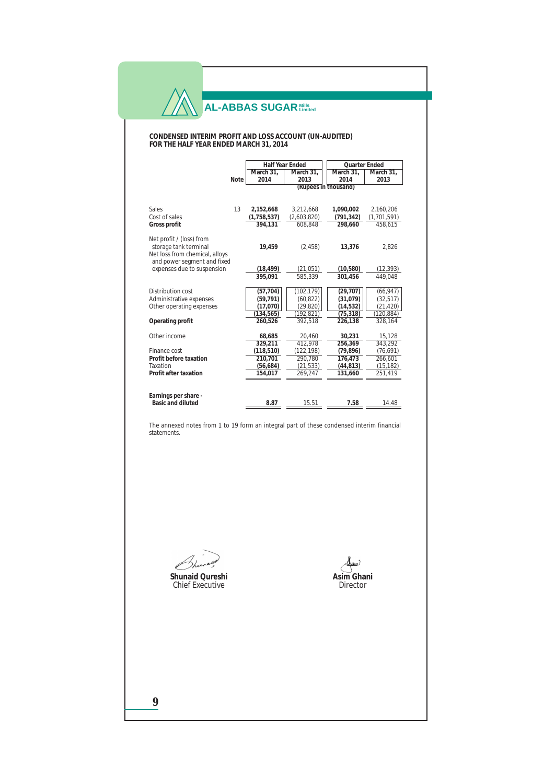#### **CONDENSED INTERIM PROFIT AND LOSS ACCOUNT (UN-AUDITED) FOR THE HALF YEAR ENDED MARCH 31, 2014**

|                                |      |             | <b>Half Year Ended</b> | Quarter Ended |             |
|--------------------------------|------|-------------|------------------------|---------------|-------------|
|                                |      | March 31.   | March 31,              | March 31,     | March 31,   |
|                                | Note | 2014        | 2013                   | 2014          | 2013        |
|                                |      |             | (Rupees in thousand)   |               |             |
|                                |      |             |                        |               |             |
|                                |      |             |                        |               |             |
| <b>Sales</b>                   | 13   | 2,152,668   | 3,212,668              | 1,090,002     | 2,160,206   |
| Cost of sales                  |      | (1,758,537) | (2,603,820)            | (791, 342)    | (1,701,591) |
| Gross profit                   |      | 394,131     | 608,848                | 298.660       | 458,615     |
|                                |      |             |                        |               |             |
| Net profit $/$ (loss) from     |      |             |                        |               |             |
| storage tank terminal          |      | 19,459      | (2, 458)               | 13,376        | 2,826       |
| Net loss from chemical, alloys |      |             |                        |               |             |
| and power segment and fixed    |      |             |                        |               |             |
| expenses due to suspension     |      | (18, 499)   | (21, 051)              | (10, 580)     | (12, 393)   |
|                                |      | 395.091     | 585.339                | 301.456       | 449.048     |
|                                |      |             |                        |               |             |
| Distribution cost              |      | (57, 704)   | (102, 179)             | (29, 707)     | (66, 947)   |
| Administrative expenses        |      | (59, 791)   | (60, 822)              | (31,079)      | (32, 517)   |
| Other operating expenses       |      | (17,070)    | (29, 820)              | (14, 532)     | (21, 420)   |
|                                |      | (134, 565)  | (192, 821)             | (75, 318)     | (120, 884)  |
| Operating profit               |      | 260.526     | 392.518                | 226.138       | 328.164     |
|                                |      |             |                        |               |             |
| Other income                   |      | 68,685      | 20,460                 | 30.231        | 15,128      |
|                                |      | 329.211     | 412,978                | 256,369       | 343.292     |
| Finance cost                   |      | (118, 510)  | (122, 198)             | (79, 896)     | (76, 691)   |
| Profit before taxation         |      | 210.701     | 290,780                | 176.473       | 266.601     |
| Taxation                       |      | (56, 684)   | (21, 533)              | (44, 813)     | (15, 182)   |
| Profit after taxation          |      | 154,017     | 269,247                | 131,660       | 251,419     |
|                                |      |             |                        |               |             |
|                                |      |             |                        |               |             |
| Earnings per share -           |      |             |                        |               |             |
| <b>Basic and diluted</b>       |      | 8.87        | 15.51                  | 7.58          | 14.48       |

The annexed notes from 1 to 19 form an integral part of these condensed interim financial statements.

**Shunaid Qureshi** Chief Executive

**Asim Ghani** Director

**9**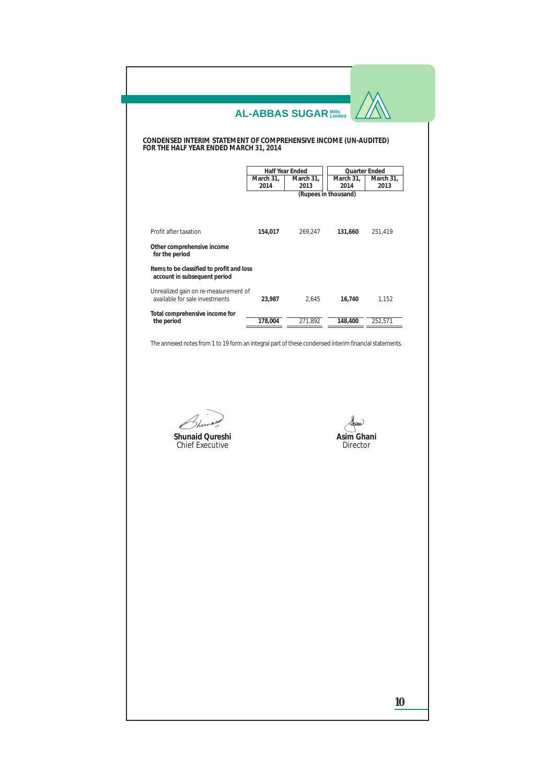**CONDENSED INTERIM STATEMENT OF COMPREHENSIVE INCOME (UN-AUDITED) FOR THE HALF YEAR ENDED MARCH 31, 2014**

|                                                                           |           | Half Year Ended | <b>Quarter Ended</b> |           |
|---------------------------------------------------------------------------|-----------|-----------------|----------------------|-----------|
|                                                                           | March 31, | March 31,       | March 31,            | March 31, |
|                                                                           | 2014      | 2013            | 2014                 | 2013      |
|                                                                           |           |                 | (Rupees in thousand) |           |
| Profit after taxation                                                     | 154,017   | 269,247         | 131,660              | 251,419   |
|                                                                           |           |                 |                      |           |
| Other comprehensive income<br>for the period                              |           |                 |                      |           |
| Items to be classified to profit and loss<br>account in subsequent period |           |                 |                      |           |
| Unrealized gain on re-measurement of<br>available for sale investments    | 23.987    | 2.645           | 16.740               | 1.152     |
| Total comprehensive income for                                            |           |                 |                      |           |
| the period                                                                | 178,004   | 271,892         | 148,400              | 252,571   |

The annexed notes from 1 to 19 form an integral part of these condensed interim financial statements.

**Shunaid Qureshi** Chief Executive

**Asim Ghani** Director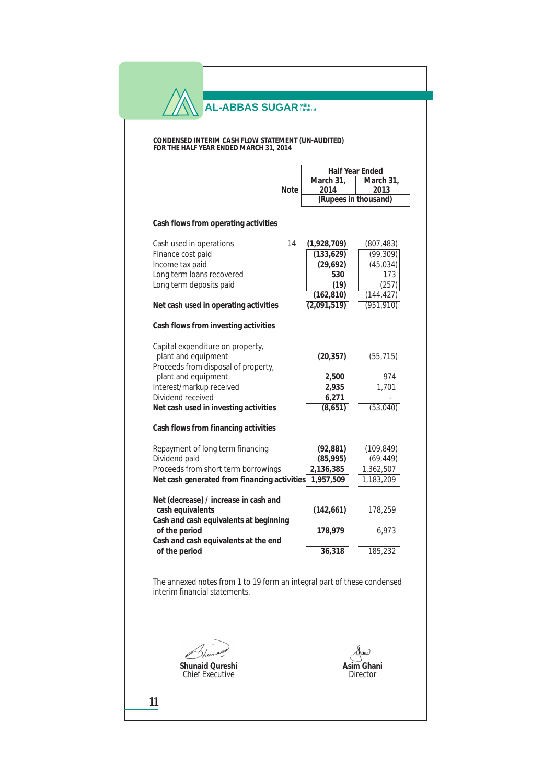#### **CONDENSED INTERIM CASH FLOW STATEMENT (UN-AUDITED) FOR THE HALF YEAR ENDED MARCH 31, 2014**

|                                              |      |             | Half Year Ended      |  |
|----------------------------------------------|------|-------------|----------------------|--|
|                                              |      | March 31,   | March $31$ ,         |  |
|                                              | Note | 2014        | 2013                 |  |
|                                              |      |             | (Rupees in thousand) |  |
| Cash flows from operating activities         |      |             |                      |  |
| Cash used in operations                      | 14   | (1,928,709) | (807, 483)           |  |
| Finance cost paid                            |      | (133, 629)  | (99, 309)            |  |
| Income tax paid                              |      | (29, 692)   | (45, 034)            |  |
| Long term loans recovered                    |      | 530         | 173                  |  |
| Long term deposits paid                      |      | (19)        | (257)                |  |
|                                              |      | (162, 810)  | (144, 427)           |  |
| Net cash used in operating activities        |      | (2,091,519) | (951, 910)           |  |
| Cash flows from investing activities         |      |             |                      |  |
| Capital expenditure on property,             |      |             |                      |  |
| plant and equipment                          |      | (20, 357)   | (55, 715)            |  |
| Proceeds from disposal of property,          |      |             |                      |  |
| plant and equipment                          |      | 2,500       | 974                  |  |
| Interest/markup received                     |      | 2,935       | 1,701                |  |
| Dividend received                            |      | 6,271       |                      |  |
| Net cash used in investing activities        |      | (8, 651)    | (53,040)             |  |
| Cash flows from financing activities         |      |             |                      |  |
| Repayment of long term financing             |      | (92, 881)   | (109, 849)           |  |
| Dividend paid                                |      | (85, 995)   | (69, 449)            |  |
| Proceeds from short term borrowings          |      | 2,136,385   | 1,362,507            |  |
| Net cash generated from financing activities |      | 1,957,509   | 1,183,209            |  |
| Net (decrease) / increase in cash and        |      |             |                      |  |
| cash equivalents                             |      | (142, 661)  | 178,259              |  |
| Cash and cash equivalents at beginning       |      |             |                      |  |
| of the period                                |      | 178,979     | 6,973                |  |
| Cash and cash equivalents at the end         |      |             |                      |  |
| of the period                                |      | 36,318      | 185,232              |  |

The annexed notes from 1 to 19 form an integral part of these condensed interim financial statements.

**Shunaid Qureshi** Chief Executive

**Asim Ghani** Director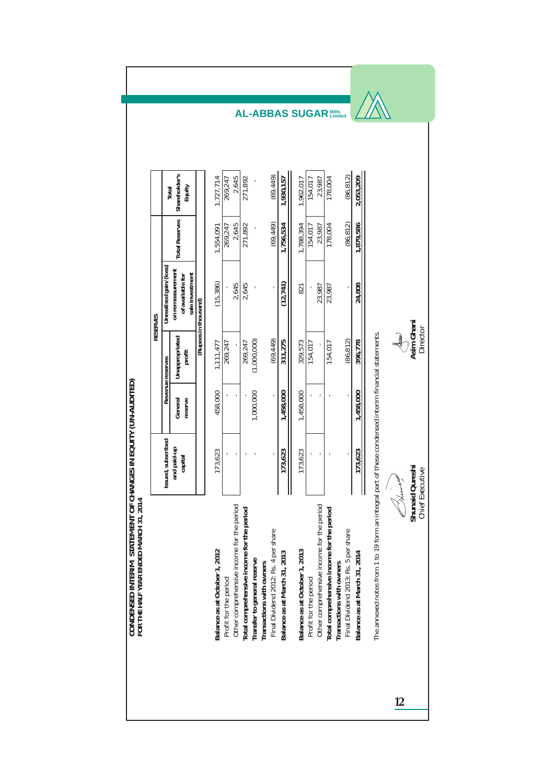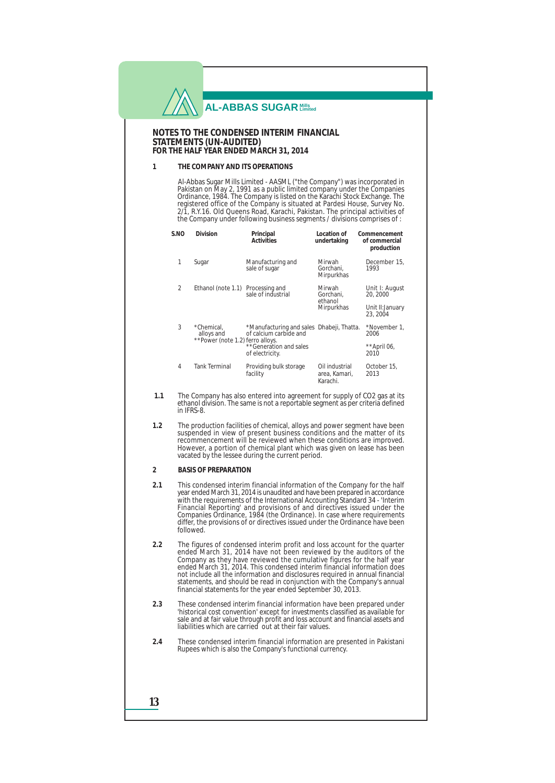#### **NOTES TO THE CONDENSED INTERIM FINANCIAL STATEMENTS (UN-AUDITED) FOR THE HALF YEAR ENDED MARCH 31, 2014**

### **1 THE COMPANY AND ITS OPERATIONS**

Al-Abbas Sugar Mills Limited - AASML ("the Company") was incorporated in Pakistan on May 2, 1991 as a public limited company under the Companies Ordinance, 1984. The Company is listed on the Karachi Stock Exchange. The registered office of the Company is situated at Pardesi House, Survey No. 2/1, R.Y.16. Old Queens Road, Karachi, Pakistan. The principal activities of the Company under following business segments / divisions comprises of :

| S.NO           | Division                                                     | Principal<br><b>Activities</b>                                      | Location of<br>undertaking                  | Commencement<br>of commercial<br>production |
|----------------|--------------------------------------------------------------|---------------------------------------------------------------------|---------------------------------------------|---------------------------------------------|
| 1              | Sugar                                                        | Manufacturing and<br>sale of sugar                                  | Mirwah<br>Gorchani.<br>Mirpurkhas           | December 15,<br>1993                        |
| $\overline{c}$ | Ethanol (note 1.1) Processing and                            | sale of industrial                                                  | Mirwah<br>Gorchani.<br>ethanol              | Unit I: August<br>20, 2000                  |
|                |                                                              |                                                                     | Mirpurkhas                                  | Unit II: January<br>23.2004                 |
| 3              | *Chemical.<br>alloys and<br>**Power (note 1.2) ferro alloys. | *Manufacturing and sales Dhabeji, Thatta.<br>of calcium carbide and |                                             | *November 1,<br>2006                        |
|                |                                                              | **Generation and sales<br>of electricity.                           |                                             | **April 06,<br>2010                         |
| 4              | <b>Tank Terminal</b>                                         | Providing bulk storage<br>facility                                  | Oil industrial<br>area, Kamari,<br>Karachi. | October 15.<br>2013                         |

- **1.1** The Company has also entered into agreement for supply of CO2 gas at its ethanol division. The same is not a reportable segment as per criteria defined in IFRS-8.
- **1.2** The production facilities of chemical, alloys and power segment have been suspended in view of present business conditions and the matter of its recommencement will be reviewed when these conditions are improved. However, a portion of chemical plant which was given on lease has been vacated by the lessee during the current period.

### **2 BASIS OF PREPARATION**

- **2.1** This condensed interim financial information of the Company for the half year ended March 31, 2014 is unaudited and have been prepared in accordance with the requirements of the International Accounting Standard 34 - 'Interim Financial Reporting' and provisions of and directives issued under the Companies Ordinance, 1984 (the Ordinance). In case where requirements differ, the provisions of or directives issued under the Ordinance have been followed.
- **2.2** The figures of condensed interim profit and loss account for the quarter ended March 31, 2014 have not been reviewed by the auditors of the Company as they have reviewed the cumulative figures for the half year ended March 31, 2014. This condensed interim financial information does not include all the information and disclosures required in annual financial statements, and should be read in conjunction with the Company's annual financial statements for the year ended September 30, 2013.
- **2.3** These condensed interim financial information have been prepared under 'historical cost convention' except for investments classified as available for sale and at fair value through profit and loss account and financial assets and liabilities which are carried out at their fair values.
- **2.4** These condensed interim financial information are presented in Pakistani Rupees which is also the Company's functional currency.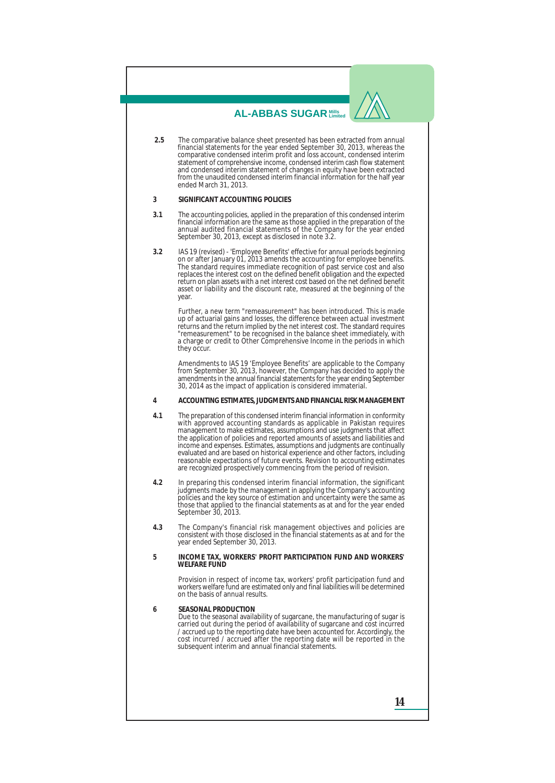- **2.5** The comparative balance sheet presented has been extracted from annual financial statements for the year ended September 30, 2013, whereas the comparative condensed interim profit and loss account, condensed interim statement of comprehensive income, condensed interim cash flow statement and condensed interim statement of changes in equity have been extracted from the unaudited condensed interim financial information for the half year ended March 31, 2013.
- **3 SIGNIFICANT ACCOUNTING POLICIES**
- **3.1** The accounting policies, applied in the preparation of this condensed interim financial information are the same as those applied in the preparation of the annual audited financial statements of the Company for the year ended September 30, 2013, except as disclosed in note 3.2.
- **3.2** IAS 19 (revised) 'Employee Benefits' effective for annual periods beginning on or after January 01, 2013 amends the accounting for employee benefits. The standard requires immediate recognition of past service cost and also replaces the interest cost on the defined benefit obligation and the expected return on plan assets with a net interest cost based on the net defined benefit asset or liability and the discount rate, measured at the beginning of the year.

Further, a new term "remeasurement" has been introduced. This is made up of actuarial gains and losses, the difference between actual investment returns and the return implied by the net interest cost. The standard requires "remeasurement" to be recognised in the balance sheet immediately, with a charge or credit to Other Comprehensive Income in the periods in which they occur.

Amendments to IAS 19 'Employee Benefits' are applicable to the Company from September 30, 2013, however, the Company has decided to apply the amendments in the annual financial statements for the year ending September 30, 2014 as the impact of application is considered immaterial.

**4 ACCOUNTING ESTIMATES, JUDGMENTS AND FINANCIAL RISK MANAGEMENT**

- **4.1** The preparation of this condensed interim financial information in conformity with approved accounting standards as applicable in Pakistan requires management to make estimates, assumptions and use judgments that affect the application of policies and reported amounts of assets and liabilities and income and expenses. Estimates, assumptions and judgments are continually evaluated and are based on historical experience and other factors, including reasonable expectations of future events. Revision to accounting estimates are recognized prospectively commencing from the period of revision.
- **4.2** In preparing this condensed interim financial information, the significant judgments made by the management in applying the Company's accounting policies and the key source of estimation and uncertainty were the same as those that applied to the financial statements as at and for the year ended September 30, 2013.
- **4.3** The Company's financial risk management objectives and policies are consistent with those disclosed in the financial statements as at and for the year ended September 30, 2013.
- **5 INCOME TAX, WORKERS' PROFIT PARTICIPATION FUND AND WORKERS' WELFARE FUND**

Provision in respect of income tax, workers' profit participation fund and workers welfare fund are estimated only and final liabilities will be determined on the basis of annual results.

**6 SEASONAL PRODUCTION**  Due to the seasonal availability of sugarcane, the manufacturing of sugar is carried out during the period of availability of sugarcane and cost incurred / accrued up to the reporting date have been accounted for. Accordingly, the cost incurred / accrued after the reporting date will be reported in the subsequent interim and annual financial statements.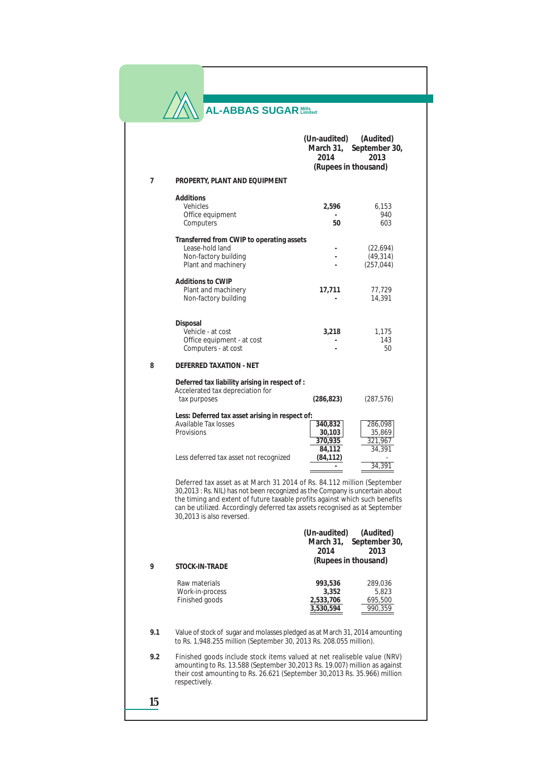| <b>AL-ABBAS SUGAR Millis</b> |  |
|------------------------------|--|
|------------------------------|--|

 $\mathcal{N}$ 

|     |                                                                                                                                                                                                                                                                                                                                                    | (Un-audited)<br>(Audited)<br>March 31, September 30,<br>2014<br>2013<br>(Rupees in thousand)    |
|-----|----------------------------------------------------------------------------------------------------------------------------------------------------------------------------------------------------------------------------------------------------------------------------------------------------------------------------------------------------|-------------------------------------------------------------------------------------------------|
| 7   | PROPERTY, PLANT AND EQUIPMENT                                                                                                                                                                                                                                                                                                                      |                                                                                                 |
|     | Additions<br>Vehicles<br>Office equipment<br>Computers                                                                                                                                                                                                                                                                                             | 2,596<br>6,153<br>940<br>50<br>603                                                              |
|     | Transferred from CWIP to operating assets<br>Lease-hold land<br>Non-factory building<br>Plant and machinery<br><b>Additions to CWIP</b><br>Plant and machinery                                                                                                                                                                                     | (22, 694)<br>(49, 314)<br>(257, 044)<br>17,711<br>77,729                                        |
|     | Non-factory building                                                                                                                                                                                                                                                                                                                               | 14,391                                                                                          |
|     | Disposal<br>Vehicle - at cost<br>Office equipment - at cost<br>Computers - at cost                                                                                                                                                                                                                                                                 | 3,218<br>1,175<br>143<br>50                                                                     |
| 8   | <b>DEFERRED TAXATION - NET</b>                                                                                                                                                                                                                                                                                                                     |                                                                                                 |
|     | Deferred tax liability arising in respect of :<br>Accelerated tax depreciation for<br>tax purposes                                                                                                                                                                                                                                                 | (286, 823)<br>(287, 576)                                                                        |
|     | Less: Deferred tax asset arising in respect of:<br>Available Tax losses<br>Provisions                                                                                                                                                                                                                                                              | 340,832<br>286,098<br>35,869<br>30,103<br>370,935<br>321,967<br>84,112<br>34,391                |
|     | Less deferred tax asset not recognized                                                                                                                                                                                                                                                                                                             | (84, 112)<br>34,391                                                                             |
|     | Deferred tax asset as at March 31 2014 of Rs. 84.112 million (September<br>30,2013 : Rs. NIL) has not been recognized as the Company is uncertain about<br>the timing and extent of future taxable profits against which such benefits<br>can be utilized. Accordingly deferred tax assets recognised as at September<br>30,2013 is also reversed. |                                                                                                 |
|     |                                                                                                                                                                                                                                                                                                                                                    | (Un-audited)<br>(Audited)<br>September 30,<br>March 31.<br>2014<br>2013<br>(Rupees in thousand) |
| 9   | <b>STOCK-IN-TRADE</b><br>Raw materials                                                                                                                                                                                                                                                                                                             |                                                                                                 |
|     | Work-in-process<br>Finished goods                                                                                                                                                                                                                                                                                                                  | 993,536<br>289,036<br>3,352<br>5,823<br>2,533,706<br>695,500<br>3,530,594<br>990,359            |
| 9.1 | Value of stock of sugar and molasses pledged as at March 31, 2014 amounting<br>to Rs. 1,948.255 million (September 30, 2013 Rs. 208.055 million).                                                                                                                                                                                                  |                                                                                                 |
| 9.2 | Finished goods include stock items valued at net realiseble value (NRV)<br>amounting to Rs. 13.588 (September 30,2013 Rs. 19.007) million as against<br>their cost amounting to Rs. 26.621 (September 30, 2013 Rs. 35.966) million<br>respectively.                                                                                                |                                                                                                 |
| 15  |                                                                                                                                                                                                                                                                                                                                                    |                                                                                                 |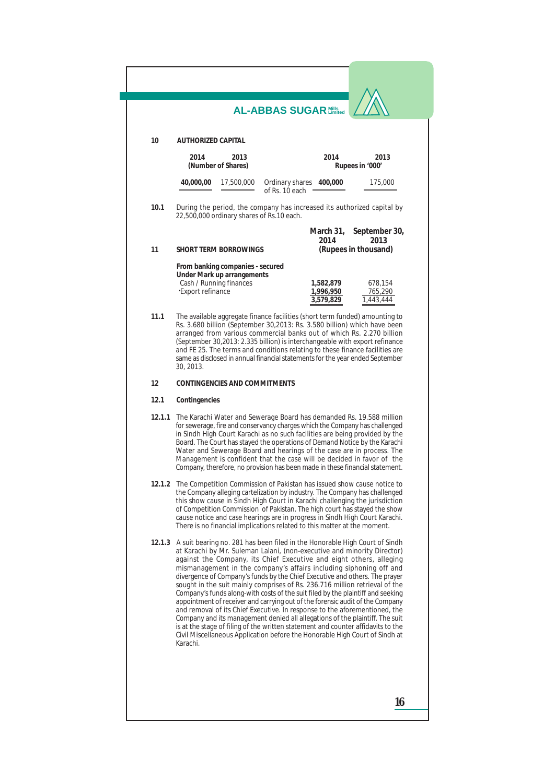|        | <b>AL-ABBAS SUGAR Nills</b>                                                                                                                                                                                                                                                                                                                                                                                                                                                                                                                                                                                                                                                                                                                                                                                                                                                            |
|--------|----------------------------------------------------------------------------------------------------------------------------------------------------------------------------------------------------------------------------------------------------------------------------------------------------------------------------------------------------------------------------------------------------------------------------------------------------------------------------------------------------------------------------------------------------------------------------------------------------------------------------------------------------------------------------------------------------------------------------------------------------------------------------------------------------------------------------------------------------------------------------------------|
| 10     | <b>AUTHORIZED CAPITAL</b>                                                                                                                                                                                                                                                                                                                                                                                                                                                                                                                                                                                                                                                                                                                                                                                                                                                              |
|        | 2014<br>2013<br>2014<br>2013<br>(Number of Shares)<br>Rupees in '000'                                                                                                                                                                                                                                                                                                                                                                                                                                                                                                                                                                                                                                                                                                                                                                                                                  |
|        | 40,000,00<br>17,500,000<br>Ordinary shares 400,000<br>175,000<br>of Rs. 10 each                                                                                                                                                                                                                                                                                                                                                                                                                                                                                                                                                                                                                                                                                                                                                                                                        |
| 10.1   | During the period, the company has increased its authorized capital by<br>22,500,000 ordinary shares of Rs.10 each.                                                                                                                                                                                                                                                                                                                                                                                                                                                                                                                                                                                                                                                                                                                                                                    |
| 11     | March 31,<br>September 30,<br>2014<br>2013<br><b>SHORT TERM BORROWINGS</b><br>(Rupees in thousand)                                                                                                                                                                                                                                                                                                                                                                                                                                                                                                                                                                                                                                                                                                                                                                                     |
|        | From banking companies - secured<br>Under Mark up arrangements<br>Cash / Running finances<br>1,582,879<br>678,154<br>'Export refinance<br>765,290<br>1,996,950<br>3,579,829<br>1,443,444                                                                                                                                                                                                                                                                                                                                                                                                                                                                                                                                                                                                                                                                                               |
| 11.1   | The available aggregate finance facilities (short term funded) amounting to<br>Rs. 3.680 billion (September 30,2013: Rs. 3.580 billion) which have been<br>arranged from various commercial banks out of which Rs. 2.270 billion<br>(September 30, 2013: 2.335 billion) is interchangeable with export refinance<br>and FE 25. The terms and conditions relating to these finance facilities are<br>same as disclosed in annual financial statements for the year ended September<br>30, 2013.                                                                                                                                                                                                                                                                                                                                                                                         |
| 12     | <b>CONTINGENCIES AND COMMITMENTS</b>                                                                                                                                                                                                                                                                                                                                                                                                                                                                                                                                                                                                                                                                                                                                                                                                                                                   |
| 12.1   | Contingencies                                                                                                                                                                                                                                                                                                                                                                                                                                                                                                                                                                                                                                                                                                                                                                                                                                                                          |
| 12.1.1 | The Karachi Water and Sewerage Board has demanded Rs. 19.588 million<br>for sewerage, fire and conservancy charges which the Company has challenged<br>in Sindh High Court Karachi as no such facilities are being provided by the<br>Board. The Court has stayed the operations of Demand Notice by the Karachi<br>Water and Sewerage Board and hearings of the case are in process. The<br>Management is confident that the case will be decided in favor of the<br>Company, therefore, no provision has been made in these financial statement.                                                                                                                                                                                                                                                                                                                                     |
|        | The Competition Commission of Pakistan has issued show cause notice to<br>the Company alleging cartelization by industry. The Company has challenged<br>this show cause in Sindh High Court in Karachi challenging the jurisdiction<br>of Competition Commission of Pakistan. The high court has stayed the show<br>cause notice and case hearings are in progress in Sindh High Court Karachi.<br>There is no financial implications related to this matter at the moment.                                                                                                                                                                                                                                                                                                                                                                                                            |
| 12.1.3 | A suit bearing no. 281 has been filed in the Honorable High Court of Sindh<br>at Karachi by Mr. Suleman Lalani, (non-executive and minority Director)<br>against the Company, its Chief Executive and eight others, alleging<br>mismanagement in the company's affairs including siphoning off and<br>divergence of Company's funds by the Chief Executive and others. The prayer<br>sought in the suit mainly comprises of Rs. 236.716 million retrieval of the<br>Company's funds along-with costs of the suit filed by the plaintiff and seeking<br>appointment of receiver and carrying out of the forensic audit of the Company<br>and removal of its Chief Executive. In response to the aforementioned, the<br>Company and its management denied all allegations of the plaintiff. The suit<br>is at the stage of filing of the written statement and counter affidavits to the |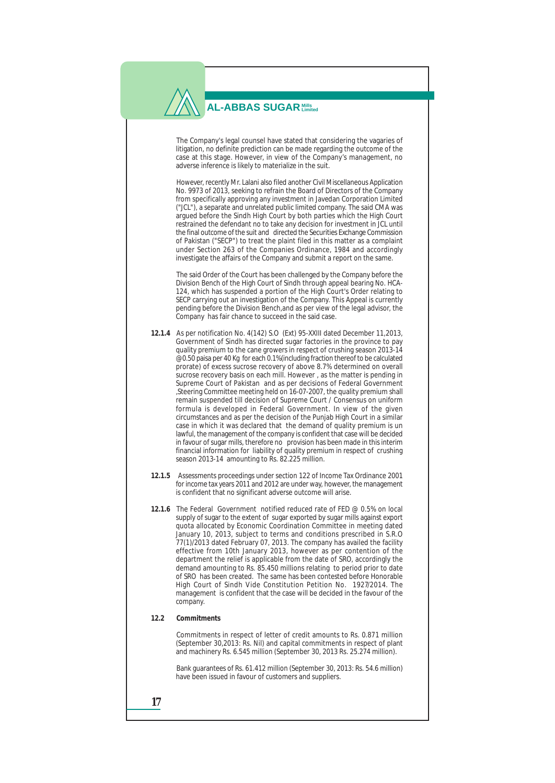The Company's legal counsel have stated that considering the vagaries of litigation, no definite prediction can be made regarding the outcome of the case at this stage. However, in view of the Company's management, no adverse inference is likely to materialize in the suit.

However, recently Mr. Lalani also filed another Civil Miscellaneous Application No. 9973 of 2013, seeking to refrain the Board of Directors of the Company from specifically approving any investment in Javedan Corporation Limited ("JCL"), a separate and unrelated public limited company. The said CMA was argued before the Sindh High Court by both parties which the High Court restrained the defendant no to take any decision for investment in JCL until the final outcome of the suit and directed the Securities Exchange Commission of Pakistan ("SECP") to treat the plaint filed in this matter as a complaint under Section 263 of the Companies Ordinance, 1984 and accordingly investigate the affairs of the Company and submit a report on the same.

The said Order of the Court has been challenged by the Company before the Division Bench of the High Court of Sindh through appeal bearing No. HCA-124, which has suspended a portion of the High Court's Order relating to SECP carrying out an investigation of the Company. This Appeal is currently pending before the Division Bench,and as per view of the legal advisor, the Company has fair chance to succeed in the said case.

- **12.1.4** As per notification No. 4(142) S.O (Ext) 95-XXIII dated December 11,2013, Government of Sindh has directed sugar factories in the province to pay quality premium to the cane growers in respect of crushing season  $2013-14$ @0.50 paisa per 40 Kg for each 0.1%(including fraction thereof to be calculated prorate) of excess sucrose recovery of above 8.7% determined on overall sucrose recovery basis on each mill. However , as the matter is pending in Supreme Court of Pakistan and as per decisions of Federal Government ,Steering Committee meeting held on 16-07-2007, the quality premium shall remain suspended till decision of Supreme Court / Consensus on uniform formula is developed in Federal Government. In view of the given circumstances and as per the decision of the Punjab High Court in a similar case in which it was declared that the demand of quality premium is un lawful, the management of the company is confident that case will be decided in favour of sugar mills, therefore no provision has been made in this interim financial information for liability of quality premium in respect of crushing season 2013-14 amounting to Rs. 82.225 million.
- **12.1.5** Assessments proceedings under section 122 of Income Tax Ordinance 2001 for income tax years 2011 and 2012 are under way, however, the management is confident that no significant adverse outcome will arise.
- **12.1.6** The Federal Government notified reduced rate of FED @ 0.5% on local supply of sugar to the extent of sugar exported by sugar mills against export quota allocated by Economic Coordination Committee in meeting dated January 10, 2013, subject to terms and conditions prescribed in S.R.O 77(1)/2013 dated February 07, 2013. The company has availed the facility effective from 10th January 2013, however as per contention of the department the relief is applicable from the date of SRO, accordingly the demand amounting to Rs. 85.450 millions relating to period prior to date of SRO has been created. The same has been contested before Honorable High Court of Sindh Vide Constitution Petition No. 1927/2014. The management is confident that the case will be decided in the favour of the company.

### **12.2 Commitments**

Commitments in respect of letter of credit amounts to Rs. 0.871 million (September 30,2013: Rs. Nil) and capital commitments in respect of plant and machinery Rs. 6.545 million (September 30, 2013 Rs. 25.274 million).

Bank guarantees of Rs. 61.412 million (September 30, 2013: Rs. 54.6 million) have been issued in favour of customers and suppliers.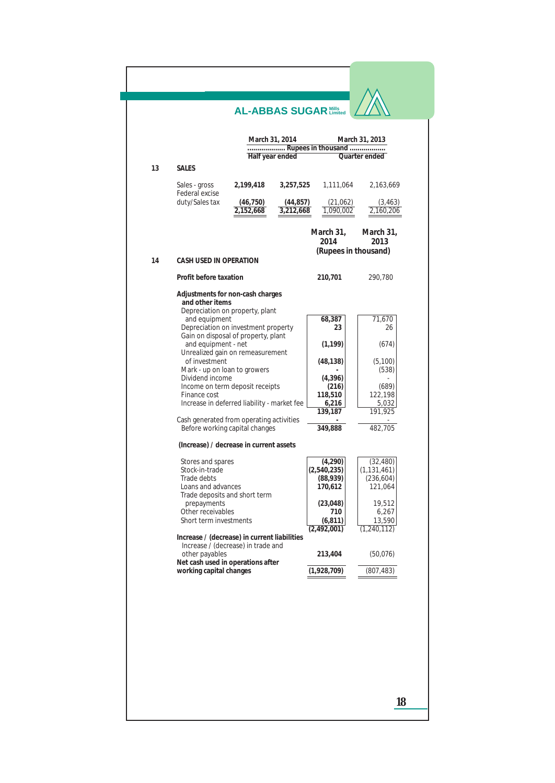|                                                                                    | <b>AL-ABBAS SUGAR Mills</b> |                        |                           |                       |
|------------------------------------------------------------------------------------|-----------------------------|------------------------|---------------------------|-----------------------|
|                                                                                    | March 31, 2014              |                        | Rupees in thousand        | March 31, 2013        |
|                                                                                    | Half year ended             |                        |                           | Quarter ended         |
| 13<br><b>SALES</b>                                                                 |                             |                        |                           |                       |
| Sales - gross<br><b>Federal excise</b>                                             | 2,199,418                   | 3,257,525              | 1,111,064                 | 2,163,669             |
| duty/Sales tax                                                                     | (46, 750)<br>2,152,668      | (44, 857)<br>3,212,668 | (21,062)<br>1,090,002     | (3, 463)<br>2,160,206 |
|                                                                                    |                             |                        | March 31,<br>2014         | March 31,<br>2013     |
|                                                                                    |                             |                        |                           | (Rupees in thousand)  |
| <b>CASH USED IN OPERATION</b><br>14                                                |                             |                        |                           |                       |
| Profit before taxation                                                             |                             |                        | 210,701                   | 290,780               |
| Adjustments for non-cash charges                                                   |                             |                        |                           |                       |
| and other items<br>Depreciation on property, plant                                 |                             |                        |                           |                       |
| and equipment<br>Depreciation on investment property                               |                             |                        | 68,387<br>23              | 71,670<br>26          |
| Gain on disposal of property, plant                                                |                             |                        |                           |                       |
| and equipment - net<br>Unrealized gain on remeasurement                            |                             |                        | (1, 199)                  | (674)                 |
| of investment<br>Mark - up on loan to growers                                      |                             |                        | (48, 138)                 | (5,100)<br>(538)      |
| Dividend income                                                                    |                             |                        | (4,396)                   |                       |
| Income on term deposit receipts<br>Finance cost                                    |                             |                        | (216)<br>118,510          | (689)<br>122,198      |
| Increase in deferred liability - market fee                                        |                             |                        | 6,216<br>139,187          | 5,032<br>191,925      |
| Cash generated from operating activities<br>Before working capital changes         |                             |                        | 349,888                   | 482,705               |
| (Increase) / decrease in current assets                                            |                             |                        |                           |                       |
| Stores and spares                                                                  |                             |                        | (4,290)                   | (32, 480)             |
| Stock-in-trade<br>Trade debts                                                      |                             |                        | (2,540,235)               | (1, 131, 461)         |
| Loans and advances                                                                 |                             |                        | (88, 939)<br>170,612      | (236, 604)<br>121,064 |
| Trade deposits and short term<br>prepayments                                       |                             |                        | (23, 048)                 | 19,512                |
| Other receivables                                                                  |                             |                        | 710                       | 6,267                 |
| Short term investments                                                             |                             |                        | (6, 811)<br>(2, 492, 001) | 13,590<br>(1,240,112) |
| Increase / (decrease) in current liabilities<br>Increase / (decrease) in trade and |                             |                        |                           |                       |
| other payables<br>Net cash used in operations after                                |                             |                        | 213,404                   | (50,076)              |
| working capital changes                                                            |                             |                        | (1,928,709)               | (807, 483)            |
|                                                                                    |                             |                        |                           |                       |
|                                                                                    |                             |                        |                           | 18                    |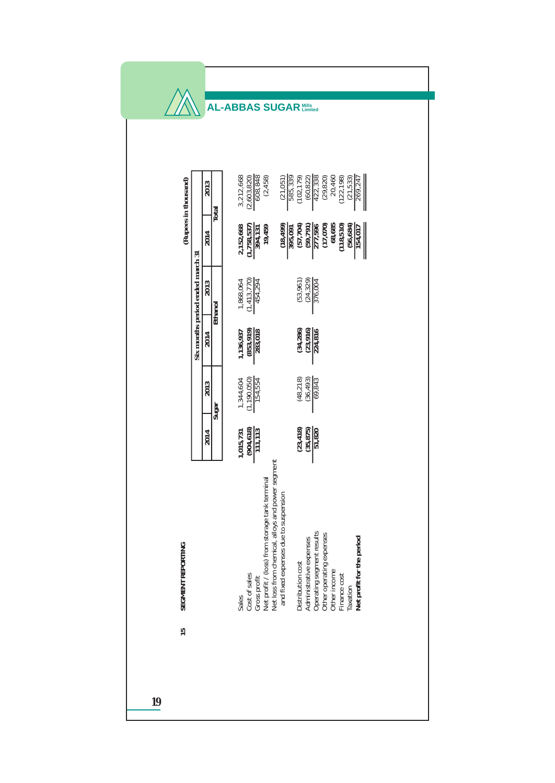|                                  |                        | <b>AL-ABBAS SUGAR Mills</b>                                                                                                                                                                                                     |                                                                                                                                                                                                                    |
|----------------------------------|------------------------|---------------------------------------------------------------------------------------------------------------------------------------------------------------------------------------------------------------------------------|--------------------------------------------------------------------------------------------------------------------------------------------------------------------------------------------------------------------|
| (Rupees in thousand)             | 2013<br>Total<br>2014  | $\begin{array}{c} 3,212,668 \\ (2,603,820) \\ \hline 608,848 \end{array}$<br>(2, 458)<br>$\frac{(21,051)}{585,339}$<br>$\frac{2,152,668}{(1,758,537)}$<br>$\frac{12,758}{(1,758,537)}$<br>$\frac{(18, 499)}{395,091}$<br>19,459 | $\frac{422,338}{(29,820)}$<br>20,460<br>(102, 179)<br>(60, 822)<br>(122, 198)<br>$\frac{(21,533)}{269,247}$<br>68,685<br>(118, 510)<br>(57,704)<br>$\frac{(59, 791)}{277, 596}$<br>(17,596<br>(56, 684)<br>154,017 |
| Six months period ended march 31 | 2013<br><b>Ethanol</b> | $\frac{1,868,064}{(1,413,770)}$<br>454,294                                                                                                                                                                                      | (53, 961)<br>(24, 329)<br>376,004                                                                                                                                                                                  |
|                                  | 2014                   | $\frac{1,136,937}{(853,919)}\\ \hline \frac{283,018}{283,018}$                                                                                                                                                                  | $(34, 286)$<br>$(23, 916)$<br>224,816                                                                                                                                                                              |
|                                  | 2013<br>Sugar          | $\frac{(1,190,050)}{154,554}$<br>1,344,604                                                                                                                                                                                      | (48, 218)<br>(36, 493)<br>69,843                                                                                                                                                                                   |
|                                  | 2014                   | $\frac{(904, 618)}{111, 113}$<br>1,015,731                                                                                                                                                                                      | (23, 418)<br>(35, 875)<br>51,820                                                                                                                                                                                   |
| <b>SEGMENT REPORTING</b><br>15   |                        | Net loss from chemical, alloys and power segment<br>Net profit / (loss) from storage tank terminal<br>and fixed expenses due to suspension<br>Cost of sales<br>Gross profit<br>Sales                                            | Operating segment results<br>Other operating expenses<br>Net profit for the period<br>Administrative expenses<br>Distribution cost<br>Other income<br>Finance cost<br>Taxation                                     |
| 19                               |                        |                                                                                                                                                                                                                                 |                                                                                                                                                                                                                    |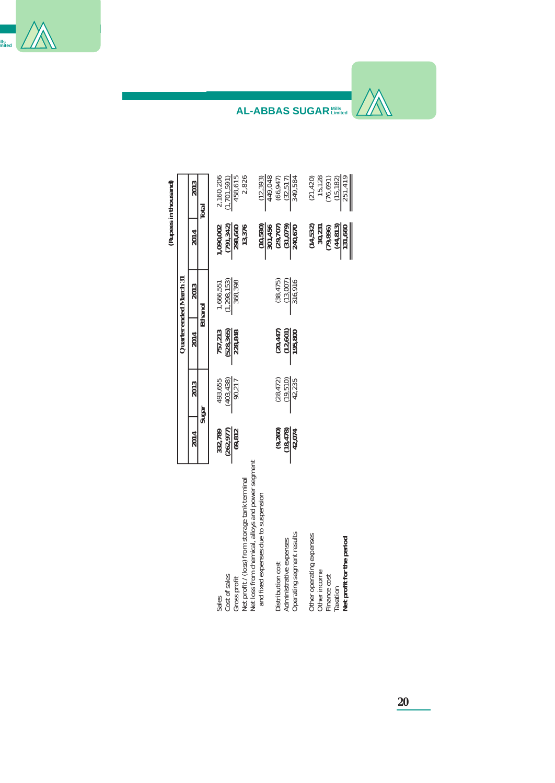

|                                                                                                   |                       |                       |                       |                         |                                                          | (Rupees in thousand)                                     |
|---------------------------------------------------------------------------------------------------|-----------------------|-----------------------|-----------------------|-------------------------|----------------------------------------------------------|----------------------------------------------------------|
|                                                                                                   |                       |                       |                       | Quarter ended March 31  |                                                          |                                                          |
|                                                                                                   | 2014                  | 2013                  | 2014                  | 2013                    | 2014                                                     | 2013                                                     |
|                                                                                                   |                       | Sugar                 |                       | Ethanol                 |                                                          | Total                                                    |
| Cost of sales<br>Sales                                                                            | (262, 977)<br>332,789 | (403, 438)<br>493,655 | (528, 365)<br>757,213 | 1,298,153)<br>1,666,551 | (791, 342)<br>1.090.002                                  | 2,160,206<br>1,701,591)                                  |
| Net profit / (loss) from storage tank terminal<br>Gross profit                                    | 69,812                | $\frac{90,217}{2}$    | 228,848               | 368,398                 | 13,376<br>298,660                                        | 2,826<br>458,615                                         |
| Net loss from chemical, alloys and power segment<br>and fixed expenses due to suspension          |                       |                       |                       |                         | (10, 580)                                                | (12, 393)                                                |
| Distribution cost                                                                                 | (9, 260)              | (28, 472)             | (20, 447)             | (38, 475)               | 301,456<br>(29, 707)                                     | 449,048<br>(66, 947)                                     |
| Operating segment results<br>Administrative expenses                                              | (18, 478)<br>42,074   | (19, 510)<br>42,235   | 195,800<br>(12, 601)  | (13,007)<br>316,916     | (31,079)<br>240,670                                      | (32, 517)<br>349,584                                     |
| Other operating expenses<br>Net profit for the period<br>Other income<br>Finance cost<br>Taxation |                       |                       |                       |                         | (14, 532)<br>(44, 813)<br>30,231<br>131,660<br>(79, 896) | (21, 420)<br>15,128<br>(76, 691)<br>251,419<br>(15, 182) |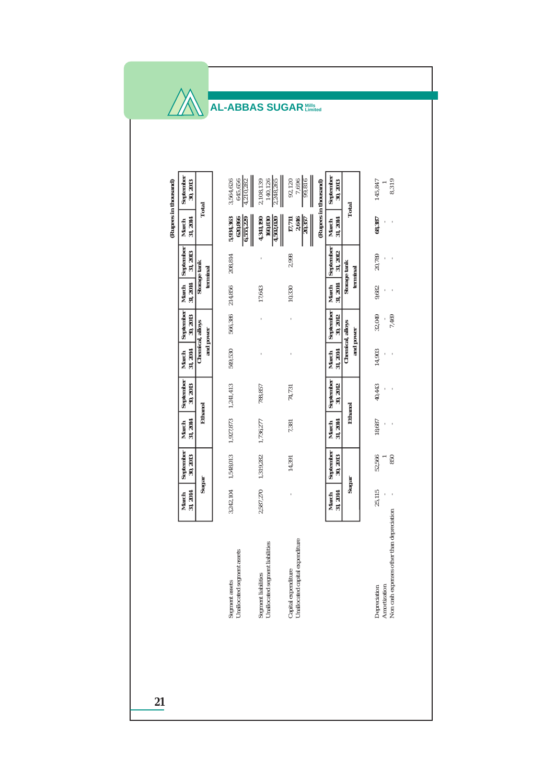| September                                 | 30, 2013                     |           | 1,210,282<br>3,564,626<br>645,656            | 2,108,139<br>140.126<br>2,248,265                      | 92,120<br>7,696<br>99,816                              |                      | September<br>30, 2013 |                          | 145,847                      | 8,319                                     |
|-------------------------------------------|------------------------------|-----------|----------------------------------------------|--------------------------------------------------------|--------------------------------------------------------|----------------------|-----------------------|--------------------------|------------------------------|-------------------------------------------|
| (Rupees in thousand)<br>31, 2014<br>March | Total                        |           | 5,934,363<br>620,866<br>6,555,229            | 160.830<br>4,341,190<br>4,502,020                      | 2,646<br>17,711<br>20,357                              | (Rupees in thousand) | 31, 2014<br>March     | Total                    | 68,387<br>ı                  |                                           |
| September                                 | 31, 2013<br>Storage tank     | terminal  | 208,814                                      | ł                                                      | 2,998                                                  |                      | September<br>31, 2012 | Storage tank<br>terminal | 20,789<br>ı                  | ï                                         |
| 31, 2014<br>March                         |                              |           | 214,856                                      | 17,643                                                 | 10,330                                                 |                      | 31, 2014<br>March     |                          | 9,682                        | f                                         |
| September                                 | 30, 2013<br>Chemical, alloys |           | 566,386                                      | ï                                                      |                                                        |                      | September<br>30, 2012 | Chemical, alloys         | 32,049                       | 7,469                                     |
| March<br>31, 2014                         |                              | and power | 549,530                                      | ł                                                      |                                                        |                      | 31, 2014<br>March     | and power                | 14,903<br>f,                 | f,                                        |
| September<br>30, 2013                     |                              |           | 1,241,413                                    | 788,857                                                | 74,731                                                 |                      | September<br>30, 2012 |                          | 40,443<br>t                  |                                           |
| March<br>31, 2014                         | Ethanol                      |           | 1,927,873                                    | 1,736,277                                              | 7,381                                                  |                      | March<br>31, 2014     | Ethanol                  | 18,687                       | ï<br>t                                    |
| September<br>30, 2013                     |                              |           | 1,548,013                                    | 1,319,282                                              | 14,391                                                 |                      | September<br>30, 2013 |                          | 52,566                       | 850                                       |
| March<br>31, 2014                         | Sugar                        |           | 3,242,104                                    | 2,587,270                                              |                                                        |                      | March<br>31, 2014     | Sugar                    | 25,115                       |                                           |
|                                           |                              |           | Unallocated segment assets<br>Segment assets | Segment liabilities<br>Unallocated segment liabilities | Capital expenditure<br>Unallocated capital expenditure |                      |                       |                          | Amortization<br>Depreciation | Non cash expenses other than depreciation |